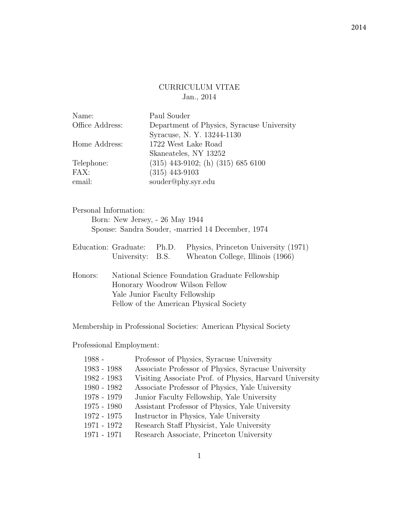# CURRICULUM VITAE Jan., 2014

| Name:           | Paul Souder                                |
|-----------------|--------------------------------------------|
| Office Address: | Department of Physics, Syracuse University |
|                 | Syracuse, N.Y. 13244-1130                  |
| Home Address:   | 1722 West Lake Road                        |
|                 | Skaneateles, NY 13252                      |
| Telephone:      | $(315)$ 443-9102; (h) $(315)$ 685 6100     |
| FAX:            | $(315)$ 443-9103                           |
| email:          | souder@phy.syr.edu                         |
|                 |                                            |

### Personal Information:

Born: New Jersey, - 26 May 1944 Spouse: Sandra Souder, -married 14 December, 1974

|                  | Education: Graduate: Ph.D. Physics, Princeton University (1971) |
|------------------|-----------------------------------------------------------------|
| University: B.S. | Wheaton College, Illinois (1966)                                |

Honors: National Science Foundation Graduate Fellowship Honorary Woodrow Wilson Fellow Yale Junior Faculty Fellowship Fellow of the American Physical Society

Membership in Professional Societies: American Physical Society

Professional Employment:

| 1988 -        | Professor of Physics, Syracuse University               |
|---------------|---------------------------------------------------------|
| 1983 - 1988   | Associate Professor of Physics, Syracuse University     |
| 1982 - 1983   | Visiting Associate Prof. of Physics, Harvard University |
| 1980 - 1982   | Associate Professor of Physics, Yale University         |
| $1978 - 1979$ | Junior Faculty Fellowship, Yale University              |
| $1975 - 1980$ | Assistant Professor of Physics, Yale University         |
| 1972 - 1975   | Instructor in Physics, Yale University                  |
| 1971 - 1972   | Research Staff Physicist, Yale University               |
| 1971 - 1971   | Research Associate, Princeton University                |
|               |                                                         |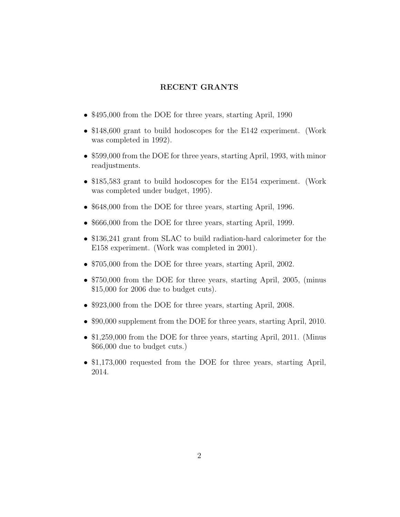## RECENT GRANTS

- \$495,000 from the DOE for three years, starting April, 1990
- \$148,600 grant to build hodoscopes for the E142 experiment. (Work was completed in 1992).
- \$599,000 from the DOE for three years, starting April, 1993, with minor readjustments.
- \$185,583 grant to build hodoscopes for the E154 experiment. (Work was completed under budget, 1995).
- \$648,000 from the DOE for three years, starting April, 1996.
- \$666,000 from the DOE for three years, starting April, 1999.
- \$136,241 grant from SLAC to build radiation-hard calorimeter for the E158 experiment. (Work was completed in 2001).
- \$705,000 from the DOE for three years, starting April, 2002.
- \$750,000 from the DOE for three years, starting April, 2005, (minus \$15,000 for 2006 due to budget cuts).
- \$923,000 from the DOE for three years, starting April, 2008.
- \$90,000 supplement from the DOE for three years, starting April, 2010.
- \$1,259,000 from the DOE for three years, starting April, 2011. (Minus \$66,000 due to budget cuts.)
- \$1,173,000 requested from the DOE for three years, starting April, 2014.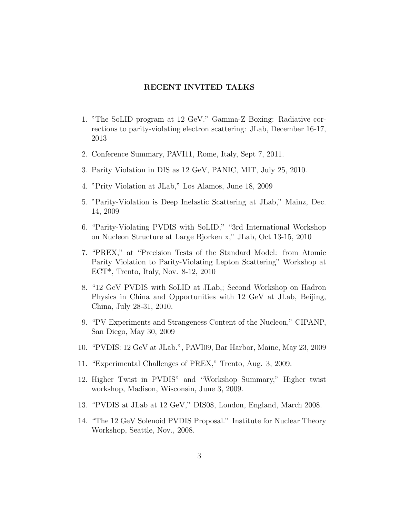### RECENT INVITED TALKS

- 1. "The SoLID program at 12 GeV." Gamma-Z Boxing: Radiative corrections to parity-violating electron scattering: JLab, December 16-17, 2013
- 2. Conference Summary, PAVI11, Rome, Italy, Sept 7, 2011.
- 3. Parity Violation in DIS as 12 GeV, PANIC, MIT, July 25, 2010.
- 4. "Prity Violation at JLab," Los Alamos, June 18, 2009
- 5. "Parity-Violation is Deep Inelastic Scattering at JLab," Mainz, Dec. 14, 2009
- 6. "Parity-Violating PVDIS with SoLID," "3rd International Workshop on Nucleon Structure at Large Bjorken x," JLab, Oct 13-15, 2010
- 7. "PREX," at "Precision Tests of the Standard Model: from Atomic Parity Violation to Parity-Violating Lepton Scattering" Workshop at ECT\*, Trento, Italy, Nov. 8-12, 2010
- 8. "12 GeV PVDIS with SoLID at JLab,; Second Workshop on Hadron Physics in China and Opportunities with 12 GeV at JLab, Beijing, China, July 28-31, 2010.
- 9. "PV Experiments and Strangeness Content of the Nucleon," CIPANP, San Diego, May 30, 2009
- 10. "PVDIS: 12 GeV at JLab.", PAVI09, Bar Harbor, Maine, May 23, 2009
- 11. "Experimental Challenges of PREX," Trento, Aug. 3, 2009.
- 12. Higher Twist in PVDIS" and "Workshop Summary," Higher twist workshop, Madison, Wisconsin, June 3, 2009.
- 13. "PVDIS at JLab at 12 GeV," DIS08, London, England, March 2008.
- 14. "The 12 GeV Solenoid PVDIS Proposal." Institute for Nuclear Theory Workshop, Seattle, Nov., 2008.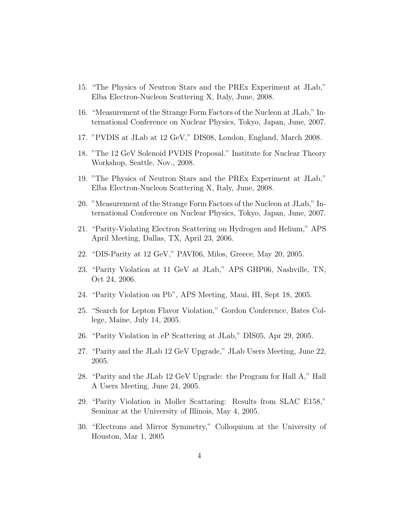- 15. "The Physics of Neutron Stars and the PREx Experiment at JLab," Elba Electron-Nucleon Scattering X, Italy, June, 2008.
- 16. "Measurement of the Strange Form Factors of the Nucleon at JLab," International Conference on Nuclear Physics, Tokyo, Japan, June, 2007.
- 17. "PVDIS at JLab at 12 GeV," DIS08, London, England, March 2008.
- 18. "The 12 GeV Solenoid PVDIS Proposal." Institute for Nuclear Theory Workshop, Seattle, Nov., 2008.
- 19. "The Physics of Neutron Stars and the PREx Experiment at JLab," Elba Electron-Nucleon Scattering X, Italy, June, 2008.
- 20. "Measurement of the Strange Form Factors of the Nucleon at JLab," International Conference on Nuclear Physics, Tokyo, Japan, June, 2007.
- 21. "Parity-Violating Electron Scattering on Hydrogen and Helium," APS April Meeting, Dallas, TX, April 23, 2006.
- 22. "DIS-Parity at 12 GeV," PAVI06, Milos, Greece, May 20, 2005.
- 23. "Parity Violation at 11 GeV at JLab," APS GHP06, Nashville, TN, Oct 24, 2006.
- 24. "Parity Violation on Pb", APS Meeting, Maui, HI, Sept 18, 2005.
- 25. "Search for Lepton Flavor Violation," Gordon Conference, Bates College, Maine, July 14, 2005.
- 26. "Parity Violation in eP Scattering at JLab," DIS05, Apr 29, 2005.
- 27. "Parity and the JLab 12 GeV Upgrade," JLab Users Meeting, June 22, 2005.
- 28. "Parity and the JLab 12 GeV Upgrade: the Program for Hall A," Hall A Users Meeting, June 24, 2005.
- 29. "Parity Violation in Moller Scattaring: Results from SLAC E158," Seminar at the University of Illinois, May 4, 2005.
- 30. "Electrons and Mirror Symmetry," Colloquium at the University of Houston, Mar 1, 2005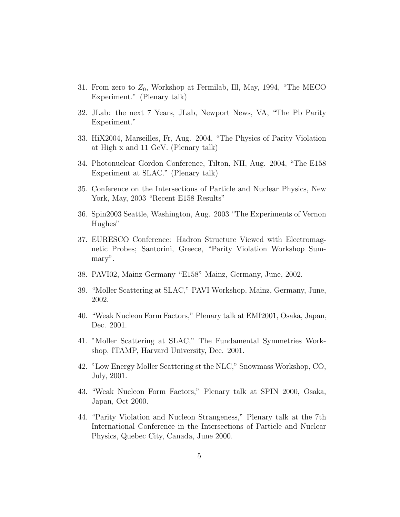- 31. From zero to  $Z_0$ , Workshop at Fermilab, Ill, May, 1994, "The MECO Experiment." (Plenary talk)
- 32. JLab: the next 7 Years, JLab, Newport News, VA, "The Pb Parity Experiment."
- 33. HiX2004, Marseilles, Fr, Aug. 2004, "The Physics of Parity Violation at High x and 11 GeV. (Plenary talk)
- 34. Photonuclear Gordon Conference, Tilton, NH, Aug. 2004, "The E158 Experiment at SLAC." (Plenary talk)
- 35. Conference on the Intersections of Particle and Nuclear Physics, New York, May, 2003 "Recent E158 Results"
- 36. Spin2003 Seattle, Washington, Aug. 2003 "The Experiments of Vernon Hughes"
- 37. EURESCO Conference: Hadron Structure Viewed with Electromagnetic Probes; Santorini, Greece, "Parity Violation Workshop Summary".
- 38. PAVI02, Mainz Germany "E158" Mainz, Germany, June, 2002.
- 39. "Moller Scattering at SLAC," PAVI Workshop, Mainz, Germany, June, 2002.
- 40. "Weak Nucleon Form Factors," Plenary talk at EMI2001, Osaka, Japan, Dec. 2001.
- 41. "Moller Scattering at SLAC," The Fundamental Symmetries Workshop, ITAMP, Harvard University, Dec. 2001.
- 42. "Low Energy Moller Scattering st the NLC," Snowmass Workshop, CO, July, 2001.
- 43. "Weak Nucleon Form Factors," Plenary talk at SPIN 2000, Osaka, Japan, Oct 2000.
- 44. "Parity Violation and Nucleon Strangeness," Plenary talk at the 7th International Conference in the Intersections of Particle and Nuclear Physics, Quebec City, Canada, June 2000.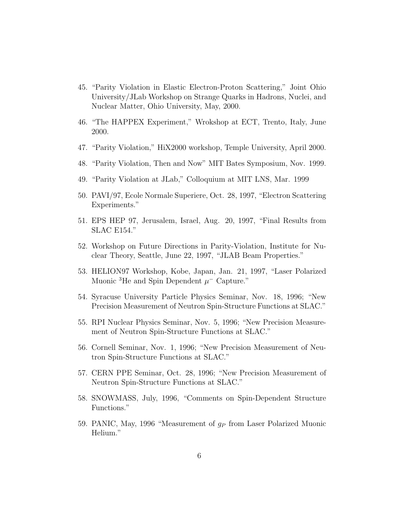- 45. "Parity Violation in Elastic Electron-Proton Scattering," Joint Ohio University/JLab Workshop on Strange Quarks in Hadrons, Nuclei, and Nuclear Matter, Ohio University, May, 2000.
- 46. "The HAPPEX Experiment," Wrokshop at ECT, Trento, Italy, June 2000.
- 47. "Parity Violation," HiX2000 workshop, Temple University, April 2000.
- 48. "Parity Violation, Then and Now" MIT Bates Symposium, Nov. 1999.
- 49. "Parity Violation at JLab," Colloquium at MIT LNS, Mar. 1999
- 50. PAVI/97, Ecole Normale Superiere, Oct. 28, 1997, "Electron Scattering Experiments."
- 51. EPS HEP 97, Jerusalem, Israel, Aug. 20, 1997, "Final Results from SLAC E154."
- 52. Workshop on Future Directions in Parity-Violation, Institute for Nuclear Theory, Seattle, June 22, 1997, "JLAB Beam Properties."
- 53. HELION97 Workshop, Kobe, Japan, Jan. 21, 1997, "Laser Polarized Muonic <sup>3</sup>He and Spin Dependent  $\mu$ <sup>-</sup> Capture."
- 54. Syracuse University Particle Physics Seminar, Nov. 18, 1996; "New Precision Measurement of Neutron Spin-Structure Functions at SLAC."
- 55. RPI Nuclear Physics Seminar, Nov. 5, 1996; "New Precision Measurement of Neutron Spin-Structure Functions at SLAC."
- 56. Cornell Seminar, Nov. 1, 1996; "New Precision Measurement of Neutron Spin-Structure Functions at SLAC."
- 57. CERN PPE Seminar, Oct. 28, 1996; "New Precision Measurement of Neutron Spin-Structure Functions at SLAC."
- 58. SNOWMASS, July, 1996, "Comments on Spin-Dependent Structure Functions."
- 59. PANIC, May, 1996 "Measurement of  $g_P$  from Laser Polarized Muonic Helium."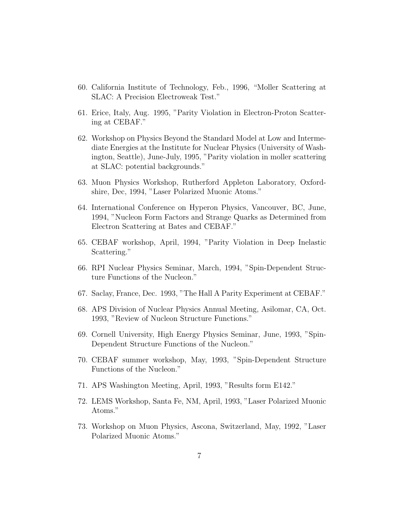- 60. California Institute of Technology, Feb., 1996, "Moller Scattering at SLAC: A Precision Electroweak Test."
- 61. Erice, Italy, Aug. 1995, "Parity Violation in Electron-Proton Scattering at CEBAF."
- 62. Workshop on Physics Beyond the Standard Model at Low and Intermediate Energies at the Institute for Nuclear Physics (University of Washington, Seattle), June-July, 1995, "Parity violation in moller scattering at SLAC: potential backgrounds."
- 63. Muon Physics Workshop, Rutherford Appleton Laboratory, Oxfordshire, Dec, 1994, "Laser Polarized Muonic Atoms."
- 64. International Conference on Hyperon Physics, Vancouver, BC, June, 1994, "Nucleon Form Factors and Strange Quarks as Determined from Electron Scattering at Bates and CEBAF."
- 65. CEBAF workshop, April, 1994, "Parity Violation in Deep Inelastic Scattering."
- 66. RPI Nuclear Physics Seminar, March, 1994, "Spin-Dependent Structure Functions of the Nucleon."
- 67. Saclay, France, Dec. 1993, "The Hall A Parity Experiment at CEBAF."
- 68. APS Division of Nuclear Physics Annual Meeting, Asilomar, CA, Oct. 1993, "Review of Nucleon Structure Functions."
- 69. Cornell University, High Energy Physics Seminar, June, 1993, "Spin-Dependent Structure Functions of the Nucleon."
- 70. CEBAF summer workshop, May, 1993, "Spin-Dependent Structure Functions of the Nucleon."
- 71. APS Washington Meeting, April, 1993, "Results form E142."
- 72. LEMS Workshop, Santa Fe, NM, April, 1993, "Laser Polarized Muonic Atoms."
- 73. Workshop on Muon Physics, Ascona, Switzerland, May, 1992, "Laser Polarized Muonic Atoms."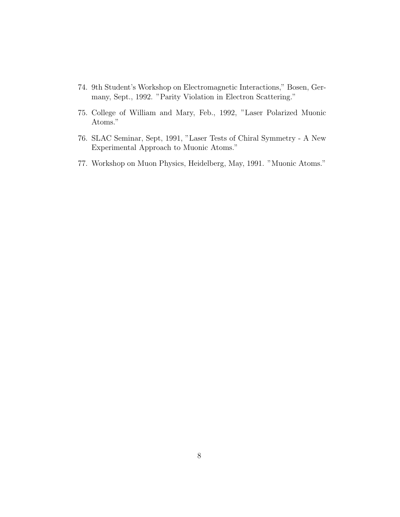- 74. 9th Student's Workshop on Electromagnetic Interactions," Bosen, Germany, Sept., 1992. "Parity Violation in Electron Scattering."
- 75. College of William and Mary, Feb., 1992, "Laser Polarized Muonic Atoms."
- 76. SLAC Seminar, Sept, 1991, "Laser Tests of Chiral Symmetry A New Experimental Approach to Muonic Atoms."
- 77. Workshop on Muon Physics, Heidelberg, May, 1991. "Muonic Atoms."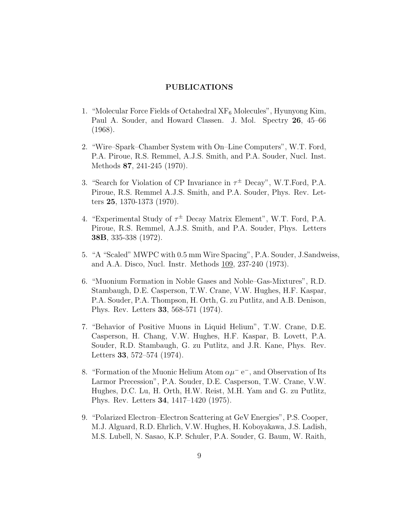#### PUBLICATIONS

- 1. "Molecular Force Fields of Octahedral  $XF_6$  Molecules", Hyunyong Kim, Paul A. Souder, and Howard Classen. J. Mol. Spectry 26, 45–66 (1968).
- 2. "Wire–Spark–Chamber System with On–Line Computers", W.T. Ford, P.A. Piroue, R.S. Remmel, A.J.S. Smith, and P.A. Souder, Nucl. Inst. Methods 87, 241-245 (1970).
- 3. "Search for Violation of CP Invariance in  $\tau^{\pm}$  Decay", W.T.Ford, P.A. Piroue, R.S. Remmel A.J.S. Smith, and P.A. Souder, Phys. Rev. Letters 25, 1370-1373 (1970).
- 4. "Experimental Study of  $\tau^{\pm}$  Decay Matrix Element", W.T. Ford, P.A. Piroue, R.S. Remmel, A.J.S. Smith, and P.A. Souder, Phys. Letters 38B, 335-338 (1972).
- 5. "A "Scaled" MWPC with 0.5 mm Wire Spacing", P.A. Souder, J.Sandweiss, and A.A. Disco, Nucl. Instr. Methods 109, 237-240 (1973).
- 6. "Muonium Formation in Noble Gases and Noble–Gas-Mixtures", R.D. Stambaugh, D.E. Casperson, T.W. Crane, V.W. Hughes, H.F. Kaspar, P.A. Souder, P.A. Thompson, H. Orth, G. zu Putlitz, and A.B. Denison, Phys. Rev. Letters 33, 568-571 (1974).
- 7. "Behavior of Positive Muons in Liquid Helium", T.W. Crane, D.E. Casperson, H. Chang, V.W. Hughes, H.F. Kaspar, B. Lovett, P.A. Souder, R.D. Stambaugh, G. zu Putlitz, and J.R. Kane, Phys. Rev. Letters 33, 572–574 (1974).
- 8. "Formation of the Muonic Helium Atom  $\alpha\mu$ <sup>-</sup> e<sup>-</sup>, and Observation of Its Larmor Precession", P.A. Souder, D.E. Casperson, T.W. Crane, V.W. Hughes, D.C. Lu, H. Orth, H.W. Reist, M.H. Yam and G. zu Putlitz, Phys. Rev. Letters 34, 1417–1420 (1975).
- 9. "Polarized Electron–Electron Scattering at GeV Energies", P.S. Cooper, M.J. Alguard, R.D. Ehrlich, V.W. Hughes, H. Koboyakawa, J.S. Ladish, M.S. Lubell, N. Sasao, K.P. Schuler, P.A. Souder, G. Baum, W. Raith,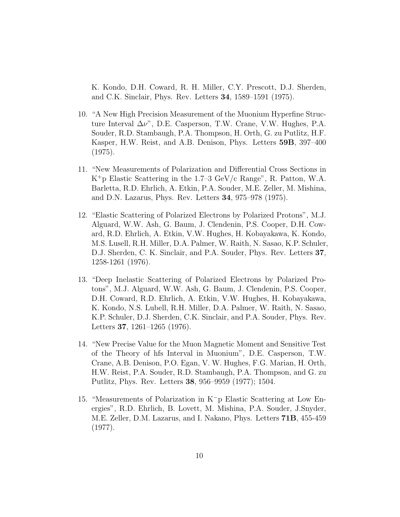K. Kondo, D.H. Coward, R. H. Miller, C.Y. Prescott, D.J. Sherden, and C.K. Sinclair, Phys. Rev. Letters 34, 1589–1591 (1975).

- 10. "A New High Precision Measurement of the Muonium Hyperfine Structure Interval  $\Delta \nu$ ", D.E. Casperson, T.W. Crane, V.W. Hughes, P.A. Souder, R.D. Stambaugh, P.A. Thompson, H. Orth, G. zu Putlitz, H.F. Kasper, H.W. Reist, and A.B. Denison, Phys. Letters 59B, 397–400 (1975).
- 11. "New Measurements of Polarization and Differential Cross Sections in K<sup>+</sup>p Elastic Scattering in the 1.7–3 GeV/c Range", R. Patton, W.A. Barletta, R.D. Ehrlich, A. Etkin, P.A. Souder, M.E. Zeller, M. Mishina, and D.N. Lazarus, Phys. Rev. Letters 34, 975–978 (1975).
- 12. "Elastic Scattering of Polarized Electrons by Polarized Protons", M.J. Alguard, W.W. Ash, G. Baum, J. Clendenin, P.S. Cooper, D.H. Coward, R.D. Ehrlich, A. Etkin, V.W. Hughes, H. Kobayakawa, K. Kondo, M.S. Lusell, R.H. Miller, D.A. Palmer, W. Raith, N. Sasao, K.P. Schuler, D.J. Sherden, C. K. Sinclair, and P.A. Souder, Phys. Rev. Letters 37, 1258-1261 (1976).
- 13. "Deep Inelastic Scattering of Polarized Electrons by Polarized Protons", M.J. Alguard, W.W. Ash, G. Baum, J. Clendenin, P.S. Cooper, D.H. Coward, R.D. Ehrlich, A. Etkin, V.W. Hughes, H. Kobayakawa, K. Kondo, N.S. Lubell, R.H. Miller, D.A. Palmer, W. Raith, N. Sasao, K.P. Schuler, D.J. Sherden, C.K. Sinclair, and P.A. Souder, Phys. Rev. Letters 37, 1261–1265 (1976).
- 14. "New Precise Value for the Muon Magnetic Moment and Sensitive Test of the Theory of hfs Interval in Muonium", D.E. Casperson, T.W. Crane, A.B. Denison, P.O. Egan, V. W. Hughes, F.G. Marian, H. Orth, H.W. Reist, P.A. Souder, R.D. Stambaugh, P.A. Thompson, and G. zu Putlitz, Phys. Rev. Letters 38, 956–9959 (1977); 1504.
- 15. "Measurements of Polarization in K<sup>−</sup>p Elastic Scattering at Low Energies", R.D. Ehrlich, B. Lovett, M. Mishina, P.A. Souder, J.Snyder, M.E. Zeller, D.M. Lazarus, and I. Nakano, Phys. Letters 71B, 455-459 (1977).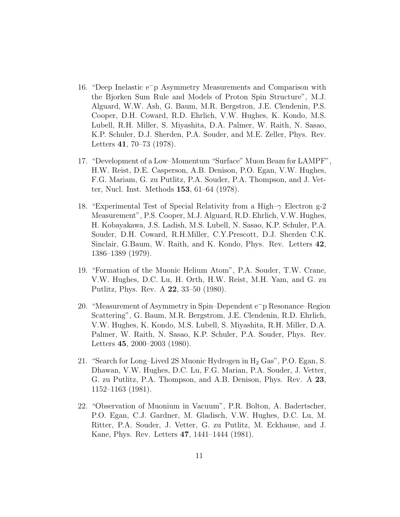- 16. "Deep Inelastic e<sup>−</sup>p Asymmetry Measurements and Comparison with the Bjorken Sum Rule and Models of Proton Spin Structure", M.J. Alguard, W.W. Ash, G. Baum, M.R. Bergstron, J.E. Clendenin, P.S. Cooper, D.H. Coward, R.D. Ehrlich, V.W. Hughes, K. Kondo, M.S. Lubell, R.H. Miller, S. Miyashita, D.A. Palmer, W. Raith, N. Sasao, K.P. Schuler, D.J. Sherden, P.A. Souder, and M.E. Zeller, Phys. Rev. Letters 41, 70–73 (1978).
- 17. "Development of a Low–Momentum "Surface" Muon Beam for LAMPF", H.W. Reist, D.E. Casperson, A.B. Denison, P.O. Egan, V.W. Hughes, F.G. Mariam, G. zu Putlitz, P.A. Souder, P.A. Thompson, and J. Vetter, Nucl. Inst. Methods 153, 61–64 (1978).
- 18. "Experimental Test of Special Relativity from a High–γ Electron g-2 Measurement", P.S. Cooper, M.J. Alguard, R.D. Ehrlich, V.W. Hughes, H. Kobayakawa, J.S. Ladish, M.S. Lubell, N. Sasao, K.P. Schuler, P.A. Souder, D.H. Coward, R.H.Miller, C.Y.Prescott, D.J. Sherden C.K. Sinclair, G.Baum, W. Raith, and K. Kondo, Phys. Rev. Letters 42, 1386–1389 (1979).
- 19. "Formation of the Muonic Helium Atom", P.A. Souder, T.W. Crane, V.W. Hughes, D.C. Lu, H. Orth, H.W. Reist, M.H. Yam, and G. zu Putlitz, Phys. Rev. A 22, 33–50 (1980).
- 20. "Measurement of Asymmetry in Spin–Dependent e<sup>−</sup>p Resonance–Region Scattering", G. Baum, M.R. Bergstrom, J.E. Clendenin, R.D. Ehrlich, V.W. Hughes, K. Kondo, M.S. Lubell, S. Miyashita, R.H. Miller, D.A. Palmer, W. Raith, N. Sasao, K.P. Schuler, P.A. Souder, Phys. Rev. Letters 45, 2000–2003 (1980).
- 21. "Search for Long–Lived 2S Muonic Hydrogen in  $H_2$  Gas", P.O. Egan, S. Dhawan, V.W. Hughes, D.C. Lu, F.G. Marian, P.A. Souder, J. Vetter, G. zu Putlitz, P.A. Thompson, and A.B. Denison, Phys. Rev. A 23, 1152–1163 (1981).
- 22. "Observation of Muonium in Vacuum", P.R. Bolton, A. Badertscher, P.O. Egan, C.J. Gardner, M. Gladisch, V.W. Hughes, D.C. Lu, M. Ritter, P.A. Souder, J. Vetter, G. zu Putlitz, M. Eckhause, and J. Kane, Phys. Rev. Letters 47, 1441–1444 (1981).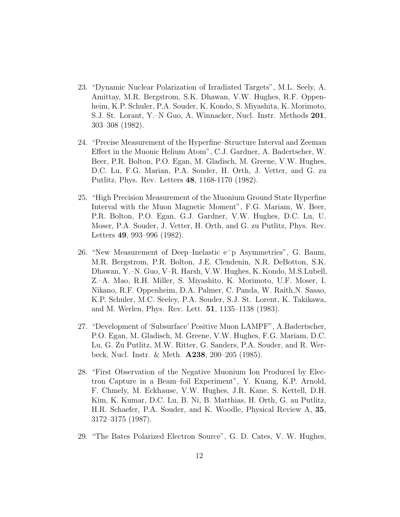- 23. "Dynamic Nuclear Polarization of Irradiated Targets", M.L. Seely, A. Amittay, M.R. Bergstrom, S.K. Dhawan, V.W. Hughes, R.F. Oppenheim, K.P. Schuler, P.A. Souder, K. Kondo, S. Miyashita, K. Morimoto, S.J. St. Lorant, Y.–N Guo, A. Winnacker, Nucl. Instr. Methods 201, 303–308 (1982).
- 24. "Precise Measurement of the Hyperfine–Structure Interval and Zeeman Effect in the Muonic Helium Atom", C.J. Gardner, A. Badertscher, W. Beer, P.R. Bolton, P.O. Egan, M. Gladisch, M. Greene, V.W. Hughes, D.C. Lu, F.G. Marian, P.A. Souder, H. Orth, J. Vetter, and G. zu Putlitz, Phys. Rev. Letters 48, 1168-1170 (1982).
- 25. "High Precision Measurement of the Muonium Ground State Hyperfine Interval with the Muon Magnetic Moment", F.G. Mariam, W. Beer, P.R. Bolton, P.O. Egan, G.J. Gardner, V.W. Hughes, D.C. Lu, U. Moser, P.A. Souder, J. Vetter, H. Orth, and G. zu Putlitz, Phys. Rev. Letters 49, 993–996 (1982).
- 26. "New Measurement of Deep–Inelastic e<sup>−</sup>p Asymmetries", G. Baum, M.R. Bergstrom, P.R. Bolton, J.E. Clendenin, N.R. DeBotton, S.K. Dhawan, Y.–N. Guo, V–R. Harsh, V.W. Hughes, K. Kondo, M.S.Lubell, Z.–A. Mao, R.H. Miller, S. Miyashito, K. Morimoto, U.F. Moser, I. Nikano, R.F. Oppenheim, D.A. Palmer, C. Panda, W. Raith,N. Sasao, K.P. Schuler, M.C. Seeley, P.A. Souder, S.J. St. Lorent, K. Takikawa, and M. Werlen, Phys. Rev. Lett. 51, 1135–1138 (1983).
- 27. "Development of 'Subsurface' Positive Muon LAMPF", A.Badertscher, P.O. Egan, M. Gladisch, M. Greene, V.W. Hughes, F.G. Mariam, D.C. Lu, G. Zu Putlitz, M.W. Ritter, G. Sanders, P.A. Souder, and R. Werbeck, Nucl. Instr. & Meth. A238, 200–205 (1985).
- 28. "First Observation of the Negative Muonium Ion Produced by Electron Capture in a Beam–foil Experiment", Y. Kuang, K.P. Arnold, F. Chmely, M. Eckhause, V.W. Hughes, J.R. Kane, S. Kettell, D.H. Kim, K. Kumar, D.C. Lu, B. Ni, B. Matthias, H. Orth, G. au Putlitz, H.R. Schaefer, P.A. Souder, and K. Woodle, Physical Review A, 35, 3172–3175 (1987).
- 29. "The Bates Polarized Electron Source", G. D. Cates, V. W. Hughes,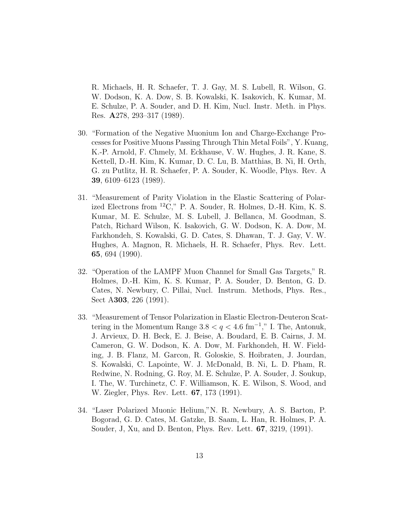R. Michaels, H. R. Schaefer, T. J. Gay, M. S. Lubell, R. Wilson, G. W. Dodson, K. A. Dow, S. B. Kowalski, K. Isakovich, K. Kumar, M. E. Schulze, P. A. Souder, and D. H. Kim, Nucl. Instr. Meth. in Phys. Res. A278, 293–317 (1989).

- 30. "Formation of the Negative Muonium Ion and Charge-Exchange Processes for Positive Muons Passing Through Thin Metal Foils", Y. Kuang, K.-P. Arnold, F. Chmely, M. Eckhause, V. W. Hughes, J. R. Kane, S. Kettell, D.-H. Kim, K. Kumar, D. C. Lu, B. Matthias, B. Ni, H. Orth, G. zu Putlitz, H. R. Schaefer, P. A. Souder, K. Woodle, Phys. Rev. A 39, 6109–6123 (1989).
- 31. "Measurement of Parity Violation in the Elastic Scattering of Polarized Electrons from  ${}^{12}C$ ," P. A. Souder, R. Holmes, D.-H. Kim, K. S. Kumar, M. E. Schulze, M. S. Lubell, J. Bellanca, M. Goodman, S. Patch, Richard Wilson, K. Isakovich, G. W. Dodson, K. A. Dow, M. Farkhondeh, S. Kowalski, G. D. Cates, S. Dhawan, T. J. Gay, V. W. Hughes, A. Magnon, R. Michaels, H. R. Schaefer, Phys. Rev. Lett. 65, 694 (1990).
- 32. "Operation of the LAMPF Muon Channel for Small Gas Targets," R. Holmes, D.-H. Kim, K. S. Kumar, P. A. Souder, D. Benton, G. D. Cates, N. Newbury, C. Pillai, Nucl. Instrum. Methods, Phys. Res., Sect A303, 226 (1991).
- 33. "Measurement of Tensor Polarization in Elastic Electron-Deuteron Scattering in the Momentum Range  $3.8 < q < 4.6$  fm<sup>-1</sup>," I. The, Antonuk, J. Arvieux, D. H. Beck, E. J. Beise, A. Boudard, E. B. Cairns, J. M. Cameron, G. W. Dodson, K. A. Dow, M. Farkhondeh, H. W. Fielding, J. B. Flanz, M. Garcon, R. Goloskie, S. Hoibraten, J. Jourdan, S. Kowalski, C. Lapointe, W. J. McDonald, B. Ni, L. D. Pham, R. Redwine, N. Rodning, G. Roy, M. E. Schulze, P. A. Souder, J. Soukup, I. The, W. Turchinetz, C. F. Williamson, K. E. Wilson, S. Wood, and W. Ziegler, Phys. Rev. Lett. 67, 173 (1991).
- 34. "Laser Polarized Muonic Helium,"N. R. Newbury, A. S. Barton, P. Bogorad, G. D. Cates, M. Gatzke, B. Saam, L. Han, R. Holmes, P. A. Souder, J, Xu, and D. Benton, Phys. Rev. Lett. 67, 3219, (1991).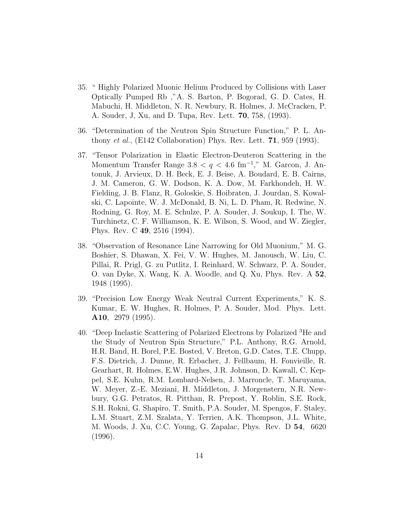- 35. " Highly Polarized Muonic Helium Produced by Collisions with Laser Optically Pumped Rb ,"A. S. Barton, P. Bogorad, G. D. Cates, H. Mabuchi, H. Middleton, N. R. Newbury, R. Holmes, J. McCracken, P. A. Souder, J, Xu, and D. Tupa, Rev. Lett. 70, 758, (1993).
- 36. "Determination of the Neutron Spin Structure Function," P. L. Anthony *et al.*, (E142 Collaboration) Phys. Rev. Lett.  $71$ , 959 (1993).
- 37. "Tensor Polarization in Elastic Electron-Deuteron Scattering in the Momentum Transfer Range  $3.8 < q < 4.6$  fm<sup>-1</sup>," M. Garcon, J. Antonuk, J. Arvieux, D. H. Beck, E. J. Beise, A. Boudard, E. B. Cairns, J. M. Cameron, G. W. Dodson, K. A. Dow, M. Farkhondeh, H. W. Fielding, J. B. Flanz, R. Goloskie, S. Hoibraten, J. Jourdan, S. Kowalski, C. Lapointe, W. J. McDonald, B. Ni, L. D. Pham, R. Redwine, N. Rodning, G. Roy, M. E. Schulze, P. A. Souder, J. Soukup, I. The, W. Turchinetz, C. F. Williamson, K. E. Wilson, S. Wood, and W. Ziegler, Phys. Rev. C 49, 2516 (1994).
- 38. "Observation of Resonance Line Narrowing for Old Muonium," M. G. Boshier, S. Dhawan, X. Fei, V. W. Hughes, M. Janousch, W. Liu, C. Pillai, R. Prigl, G. zu Putlitz, I. Reinhard, W. Schwarz, P. A. Souder, O. van Dyke, X. Wang, K. A. Woodle, and Q. Xu, Phys. Rev. A 52, 1948 (1995).
- 39. "Precision Low Energy Weak Neutral Current Experiments," K. S. Kumar, E. W. Hughes, R. Holmes, P. A. Souder, Mod. Phys. Lett. A10, 2979 (1995).
- 40. "Deep Inelastic Scattering of Polarized Electrons by Polarized <sup>3</sup>He and the Study of Neutron Spin Structure," P.L. Anthony, R.G. Arnold, H.R. Band, H. Borel, P.E. Bosted, V. Breton, G.D. Cates, T.E. Chupp, F.S. Dietrich, J. Dunne, R. Erbacher, J. Fellbaum, H. Fonvieille, R. Gearhart, R. Holmes, E.W. Hughes, J.R. Johnson, D. Kawall, C. Keppel, S.E. Kuhn, R.M. Lombard-Nelsen, J. Marroncle, T. Maruyama, W. Meyer, Z.-E. Meziani, H. Middleton, J. Morgenstern, N.R. Newbury, G.G. Petratos, R. Pitthan, R. Prepost, Y. Roblin, S.E. Rock, S.H. Rokni, G. Shapiro, T. Smith, P.A. Souder, M. Spengos, F. Staley, L.M. Stuart, Z.M. Szalata, Y. Terrien, A.K. Thompson, J.L. White, M. Woods, J. Xu, C.C. Young, G. Zapalac, Phys. Rev. D 54, 6620 (1996).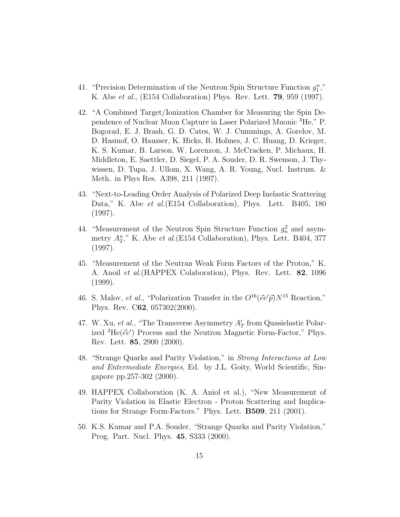- 41. "Precision Determination of the Neutron Spin Structure Function  $g_1^n$ ," K. Abe et al., (E154 Collaboration) Phys. Rev. Lett. 79, 959 (1997).
- 42. "A Combined Target/Ionization Chamber for Measuring the Spin Dependence of Nuclear Muon Capture in Laser Polarized Muonic <sup>3</sup>He," P. Bogorad, E. J. Brash, G. D. Cates, W. J. Cummings, A. Gorelov, M. D. Hasinof, O. Hausser, K. Hicks, R. Holmes, J. C. Huang, D. Krieger, K. S. Kumar, B. Larson, W. Lorenzon, J. McCracken, P. Michaux, H. Middleton, E. Saettler, D. Siegel, P. A. Souder, D. R. Swenson, J. Thywissen, D. Tupa, J. Ullom, X. Wang, A. R. Young, Nucl. Instrum. & Meth. in Phys Res. A398, 211 (1997).
- 43. "Next-to-Leading Order Analysis of Polarized Deep Inelastic Scattering Data," K. Abe *et al.*(E154 Collaboration), Phys. Lett. B405, 180 (1997).
- 44. "Measurement of the Neutron Spin Structure Function  $g_n^2$  and asymmetry  $A_2^n$ ," K. Abe *et al.*(E154 Collaboration), Phys. Lett. B404, 377 (1997).
- 45. "Measurement of the Neutran Weak Form Factors of the Proton," K. A. Anoil *et al.* (HAPPEX Colaboration), Phys. Rev. Lett. **82**, 1096 (1999).
- 46. S. Malov, *et al.*, "Polarization Transfer in the  $O^{16}(\vec{e}e'\vec{p})N^{15}$  Reaction," Phys. Rev. C62, 057302(2000).
- 47. W. Xu, *et al.*, "The Transverse Asymmetry  $A'_T$  from Quasielastic Polarized  ${}^{3}\text{He}(\vec{e}e')$  Process and the Neutron Magnetic Form-Factor," Phys. Rev. Lett. 85, 2900 (2000).
- 48. "Strange Quarks and Parity Violation," in Strong Interactions at Low and Entermediate Energies, Ed. by J.L. Goity, World Scientific, Singapore pp.257-302 (2000).
- 49. HAPPEX Collaboration (K. A. Aniol et al.), "New Measurement of Parity Violation in Elastic Electron - Proton Scattering and Implications for Strange Form-Factors." Phys. Lett. B509, 211 (2001).
- 50. K.S. Kumar and P.A. Souder, "Strange Quarks and Parity Violation," Prog. Part. Nucl. Phys. 45, S333 (2000).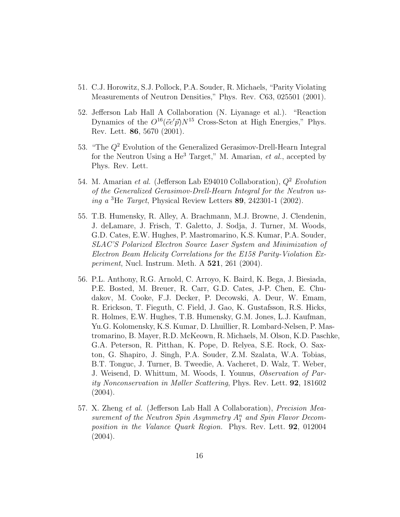- 51. C.J. Horowitz, S.J. Pollock, P.A. Souder, R. Michaels, "Parity Violating Measurements of Neutron Densities," Phys. Rev. C63, 025501 (2001).
- 52. Jefferson Lab Hall A Collaboration (N. Liyanage et al.). "Reaction Dynamics of the  $O^{16}(\vec{e}e'\vec{p})N^{15}$  Cross-Scton at High Energies," Phys. Rev. Lett. 86, 5670 (2001).
- 53. "The  $Q^2$  Evolution of the Generalized Gerasimov-Drell-Hearn Integral for the Neutron Using a He<sup>3</sup> Target," M. Amarian, *et al.*, accepted by Phys. Rev. Lett.
- 54. M. Amarian et al. (Jefferson Lab E94010 Collaboration),  $Q^2$  Evolution of the Generalized Gerasimov-Drell-Hearn Integral for the Neutron using a  ${}^{3}$ He *Target*, Physical Review Letters 89, 242301-1 (2002).
- 55. T.B. Humensky, R. Alley, A. Brachmann, M.J. Browne, J. Clendenin, J. deLamare, J. Frisch, T. Galetto, J. Sodja, J. Turner, M. Woods, G.D. Cates, E.W. Hughes, P. Mastromarino, K.S. Kumar, P.A. Souder, SLAC'S Polarized Electron Source Laser System and Minimization of Electron Beam Helicity Correlations for the E158 Parity-Violation Ex*periment*, Nucl. Instrum. Meth. A  $521$ , 261 (2004).
- 56. P.L. Anthony, R.G. Arnold, C. Arroyo, K. Baird, K. Bega, J. Biesiada, P.E. Bosted, M. Breuer, R. Carr, G.D. Cates, J-P. Chen, E. Chudakov, M. Cooke, F.J. Decker, P. Decowski, A. Deur, W. Emam, R. Erickson, T. Fieguth, C. Field, J. Gao, K. Gustafsson, R.S. Hicks, R. Holmes, E.W. Hughes, T.B. Humensky, G.M. Jones, L.J. Kaufman, Yu.G. Kolomensky, K.S. Kumar, D. Lhuillier, R. Lombard-Nelsen, P. Mastromarino, B. Mayer, R.D. McKeown, R. Michaels, M. Olson, K.D. Paschke, G.A. Peterson, R. Pitthan, K. Pope, D. Relyea, S.E. Rock, O. Saxton, G. Shapiro, J. Singh, P.A. Souder, Z.M. Szalata, W.A. Tobias, B.T. Tonguc, J. Turner, B. Tweedie, A. Vacheret, D. Walz, T. Weber, J. Weisend, D. Whittum, M. Woods, I. Younus, Observation of Parity Nonconservation in Møller Scattering, Phys. Rev. Lett. 92, 181602  $(2004).$
- 57. X. Zheng et al. (Jefferson Lab Hall A Collaboration), Precision Measurement of the Neutron Spin Asymmetry  $A_1^n$  and Spin Flavor Decomposition in the Valance Quark Region. Phys. Rev. Lett. **92**, 012004 (2004).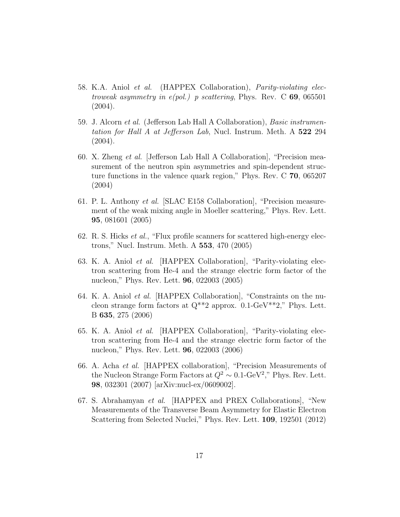- 58. K.A. Aniol et al. (HAPPEX Collaboration), Parity-violating electroweak asymmetry in  $e(pol.)$  p scattering, Phys. Rev. C 69, 065501 (2004).
- 59. J. Alcorn et al. (Jefferson Lab Hall A Collaboration), Basic instrumentation for Hall A at Jefferson Lab, Nucl. Instrum. Meth. A 522 294 (2004).
- 60. X. Zheng et al. [Jefferson Lab Hall A Collaboration], "Precision measurement of the neutron spin asymmetries and spin-dependent structure functions in the valence quark region," Phys. Rev. C 70, 065207 (2004)
- 61. P. L. Anthony et al. [SLAC E158 Collaboration], "Precision measurement of the weak mixing angle in Moeller scattering," Phys. Rev. Lett. 95, 081601 (2005)
- 62. R. S. Hicks *et al.*, "Flux profile scanners for scattered high-energy electrons," Nucl. Instrum. Meth. A 553, 470 (2005)
- 63. K. A. Aniol et al. [HAPPEX Collaboration], "Parity-violating electron scattering from He-4 and the strange electric form factor of the nucleon," Phys. Rev. Lett. 96, 022003 (2005)
- 64. K. A. Aniol et al. [HAPPEX Collaboration], "Constraints on the nucleon strange form factors at  $Q^{**}2$  approx. 0.1-GeV\*\*2," Phys. Lett. B 635, 275 (2006)
- 65. K. A. Aniol et al. [HAPPEX Collaboration], "Parity-violating electron scattering from He-4 and the strange electric form factor of the nucleon," Phys. Rev. Lett. 96, 022003 (2006)
- 66. A. Acha et al. [HAPPEX collaboration], "Precision Measurements of the Nucleon Strange Form Factors at  $Q^2 \sim 0.1$ -GeV<sup>2</sup>," Phys. Rev. Lett. 98, 032301 (2007) [arXiv:nucl-ex/0609002].
- 67. S. Abrahamyan et al. [HAPPEX and PREX Collaborations], "New Measurements of the Transverse Beam Asymmetry for Elastic Electron Scattering from Selected Nuclei," Phys. Rev. Lett. 109, 192501 (2012)